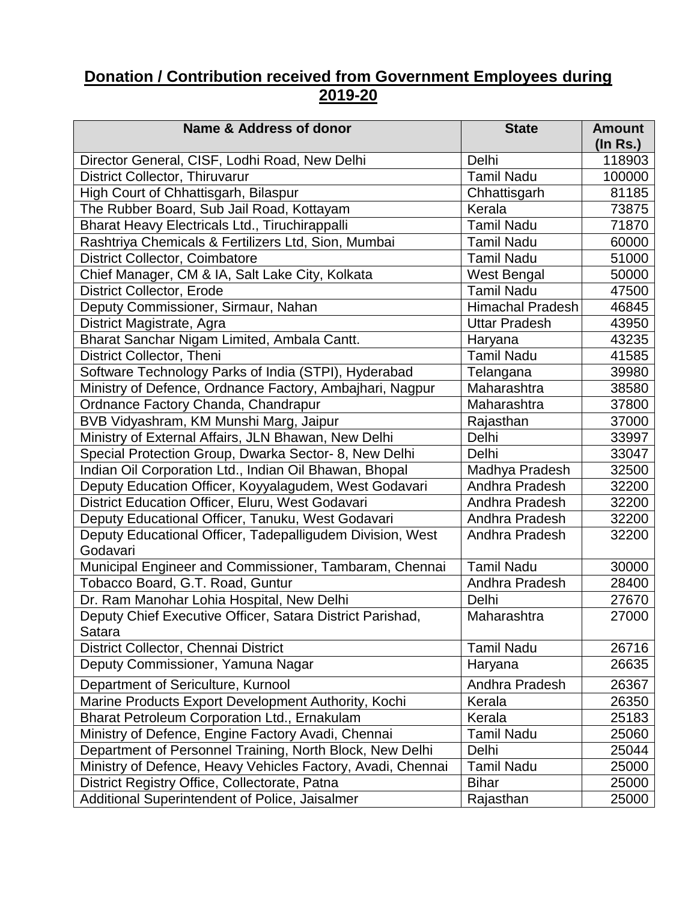## **Donation / Contribution received from Government Employees during 2019-20**

| Name & Address of donor                                     | <b>State</b>            | <b>Amount</b>            |
|-------------------------------------------------------------|-------------------------|--------------------------|
| Director General, CISF, Lodhi Road, New Delhi               | Delhi                   | $($ ln Rs. $)$<br>118903 |
| District Collector, Thiruvarur                              | <b>Tamil Nadu</b>       | 100000                   |
| High Court of Chhattisgarh, Bilaspur                        | Chhattisgarh            | 81185                    |
| The Rubber Board, Sub Jail Road, Kottayam                   | Kerala                  | 73875                    |
| Bharat Heavy Electricals Ltd., Tiruchirappalli              | <b>Tamil Nadu</b>       | 71870                    |
| Rashtriya Chemicals & Fertilizers Ltd, Sion, Mumbai         | <b>Tamil Nadu</b>       | 60000                    |
| <b>District Collector, Coimbatore</b>                       | <b>Tamil Nadu</b>       | 51000                    |
| Chief Manager, CM & IA, Salt Lake City, Kolkata             | <b>West Bengal</b>      | 50000                    |
| <b>District Collector, Erode</b>                            | <b>Tamil Nadu</b>       | 47500                    |
| Deputy Commissioner, Sirmaur, Nahan                         | <b>Himachal Pradesh</b> | 46845                    |
| District Magistrate, Agra                                   | <b>Uttar Pradesh</b>    | 43950                    |
| Bharat Sanchar Nigam Limited, Ambala Cantt.                 | Haryana                 | 43235                    |
| District Collector, Theni                                   | <b>Tamil Nadu</b>       | 41585                    |
| Software Technology Parks of India (STPI), Hyderabad        | Telangana               | 39980                    |
| Ministry of Defence, Ordnance Factory, Ambajhari, Nagpur    | Maharashtra             | 38580                    |
| Ordnance Factory Chanda, Chandrapur                         | Maharashtra             | 37800                    |
| BVB Vidyashram, KM Munshi Marg, Jaipur                      | Rajasthan               | 37000                    |
| Ministry of External Affairs, JLN Bhawan, New Delhi         | Delhi                   | 33997                    |
| Special Protection Group, Dwarka Sector- 8, New Delhi       | Delhi                   | 33047                    |
| Indian Oil Corporation Ltd., Indian Oil Bhawan, Bhopal      | Madhya Pradesh          | 32500                    |
| Deputy Education Officer, Koyyalagudem, West Godavari       | Andhra Pradesh          | 32200                    |
| District Education Officer, Eluru, West Godavari            | Andhra Pradesh          | 32200                    |
| Deputy Educational Officer, Tanuku, West Godavari           | Andhra Pradesh          | 32200                    |
| Deputy Educational Officer, Tadepalligudem Division, West   | Andhra Pradesh          | 32200                    |
| Godavari                                                    |                         |                          |
| Municipal Engineer and Commissioner, Tambaram, Chennai      | <b>Tamil Nadu</b>       | 30000                    |
| Tobacco Board, G.T. Road, Guntur                            | Andhra Pradesh          | 28400                    |
| Dr. Ram Manohar Lohia Hospital, New Delhi                   | Delhi                   | 27670                    |
| Deputy Chief Executive Officer, Satara District Parishad,   | Maharashtra             | 27000                    |
| Satara                                                      |                         |                          |
| District Collector, Chennai District                        | <b>Tamil Nadu</b>       | 26716                    |
| Deputy Commissioner, Yamuna Nagar                           | Haryana                 | 26635                    |
| Department of Sericulture, Kurnool                          | Andhra Pradesh          | 26367                    |
| Marine Products Export Development Authority, Kochi         | Kerala                  | 26350                    |
| Bharat Petroleum Corporation Ltd., Ernakulam                | Kerala                  | 25183                    |
| Ministry of Defence, Engine Factory Avadi, Chennai          | <b>Tamil Nadu</b>       | 25060                    |
| Department of Personnel Training, North Block, New Delhi    | Delhi                   | 25044                    |
| Ministry of Defence, Heavy Vehicles Factory, Avadi, Chennai | <b>Tamil Nadu</b>       | 25000                    |
| District Registry Office, Collectorate, Patna               | <b>Bihar</b>            | 25000                    |
| Additional Superintendent of Police, Jaisalmer              | Rajasthan               | 25000                    |